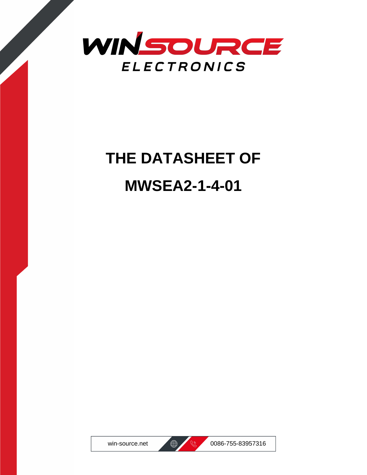

## **THE DATASHEET OF MWSEA2-1-4-01**





win-source.net  $\bigoplus$  8 0086-755-83957316